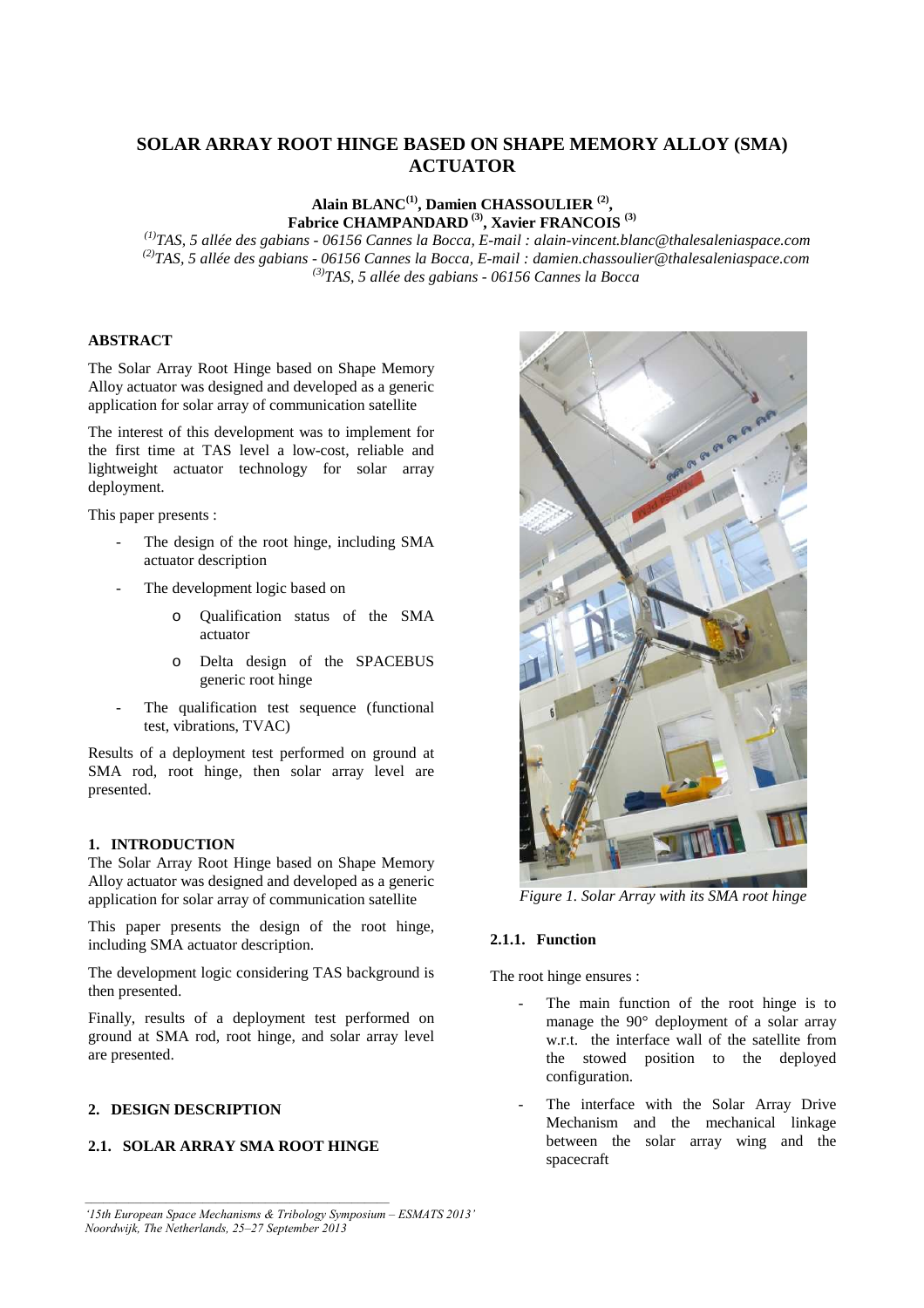# **SOLAR ARRAY ROOT HINGE BASED ON SHAPE MEMORY ALLOY (SMA) ACTUATOR**

## **Alain BLANC(1), Damien CHASSOULIER (2) , Fabrice CHAMPANDARD (3), Xavier FRANCOIS (3)**

 *(1)TAS, 5 allée des gabians - 06156 Cannes la Bocca, E-mail : alain-vincent.blanc@thalesaleniaspace.com (2)TAS, 5 allée des gabians - 06156 Cannes la Bocca, E-mail : damien.chassoulier@thalesaleniaspace.com (3)TAS, 5 allée des gabians - 06156 Cannes la Bocca* 

## **ABSTRACT**

The Solar Array Root Hinge based on Shape Memory Alloy actuator was designed and developed as a generic application for solar array of communication satellite

The interest of this development was to implement for the first time at TAS level a low-cost, reliable and lightweight actuator technology for solar array deployment.

This paper presents :

- The design of the root hinge, including SMA actuator description
- The development logic based on
	- o Qualification status of the SMA actuator
	- o Delta design of the SPACEBUS generic root hinge
- The qualification test sequence (functional test, vibrations, TVAC)

Results of a deployment test performed on ground at SMA rod, root hinge, then solar array level are presented.

#### **1. INTRODUCTION**

The Solar Array Root Hinge based on Shape Memory Alloy actuator was designed and developed as a generic application for solar array of communication satellite

This paper presents the design of the root hinge, including SMA actuator description.

The development logic considering TAS background is then presented.

Finally, results of a deployment test performed on ground at SMA rod, root hinge, and solar array level are presented.

## **2. DESIGN DESCRIPTION**

## **2.1. SOLAR ARRAY SMA ROOT HINGE**



*Figure 1. Solar Array with its SMA root hinge* 

## **2.1.1. Function**

The root hinge ensures :

- The main function of the root hinge is to manage the 90° deployment of a solar array w.r.t. the interface wall of the satellite from the stowed position to the deployed configuration.
- The interface with the Solar Array Drive Mechanism and the mechanical linkage between the solar array wing and the spacecraft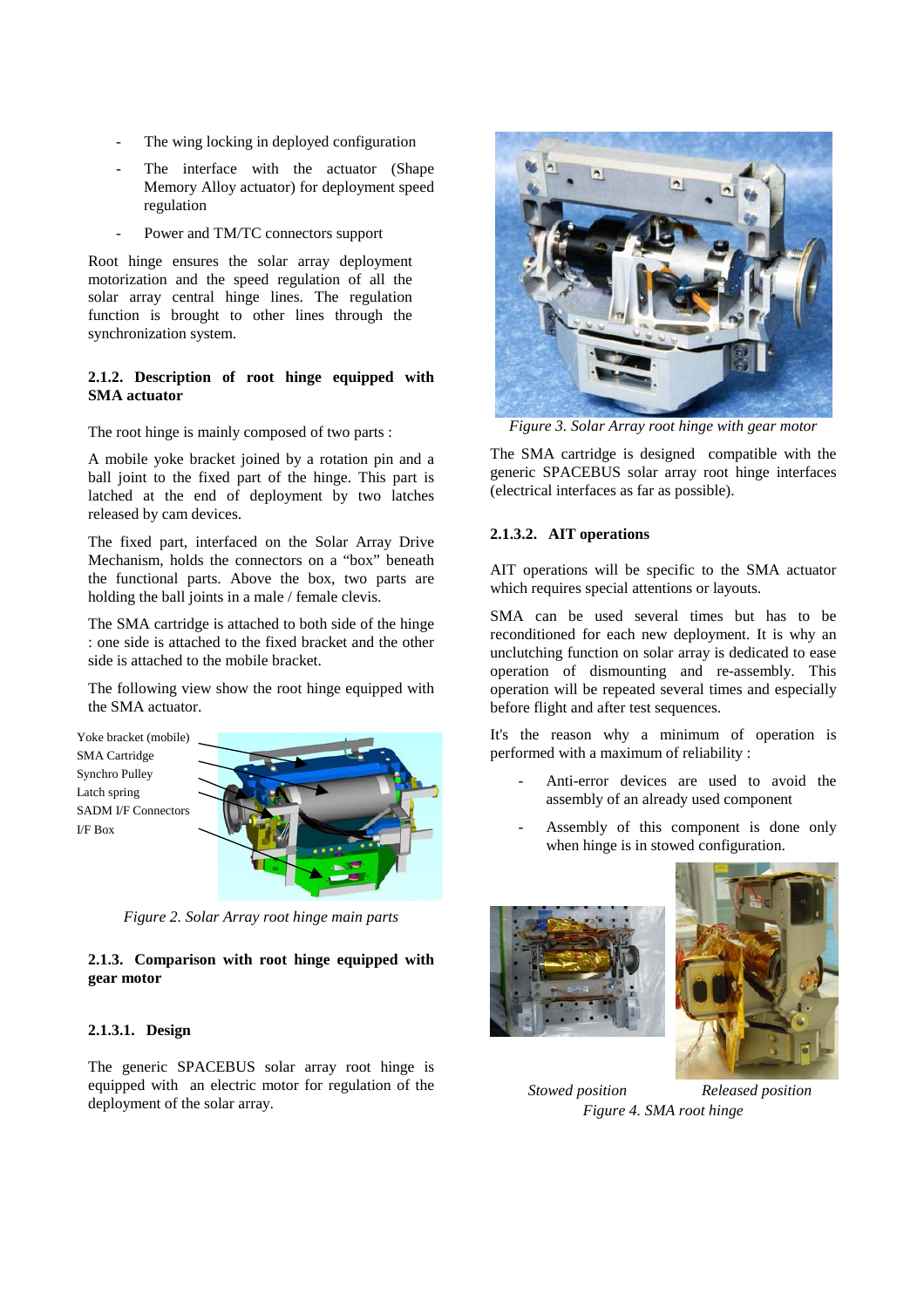- The wing locking in deployed configuration
- The interface with the actuator (Shape Memory Alloy actuator) for deployment speed regulation
- Power and TM/TC connectors support

Root hinge ensures the solar array deployment motorization and the speed regulation of all the solar array central hinge lines. The regulation function is brought to other lines through the synchronization system.

# **2.1.2. Description of root hinge equipped with SMA actuator**

The root hinge is mainly composed of two parts :

A mobile yoke bracket joined by a rotation pin and a ball joint to the fixed part of the hinge. This part is latched at the end of deployment by two latches released by cam devices.

The fixed part, interfaced on the Solar Array Drive Mechanism, holds the connectors on a "box" beneath the functional parts. Above the box, two parts are holding the ball joints in a male / female clevis.

The SMA cartridge is attached to both side of the hinge : one side is attached to the fixed bracket and the other side is attached to the mobile bracket.

The following view show the root hinge equipped with the SMA actuator.





*Figure 2. Solar Array root hinge main parts* 

# **2.1.3. Comparison with root hinge equipped with gear motor**

# **2.1.3.1. Design**

The generic SPACEBUS solar array root hinge is equipped with an electric motor for regulation of the deployment of the solar array.



*Figure 3. Solar Array root hinge with gear motor* 

The SMA cartridge is designed compatible with the generic SPACEBUS solar array root hinge interfaces (electrical interfaces as far as possible).

# **2.1.3.2. AIT operations**

AIT operations will be specific to the SMA actuator which requires special attentions or layouts.

SMA can be used several times but has to be reconditioned for each new deployment. It is why an unclutching function on solar array is dedicated to ease operation of dismounting and re-assembly. This operation will be repeated several times and especially before flight and after test sequences.

It's the reason why a minimum of operation is performed with a maximum of reliability :

- Anti-error devices are used to avoid the assembly of an already used component
- Assembly of this component is done only when hinge is in stowed configuration.





*Stowed position Released position Figure 4. SMA root hinge*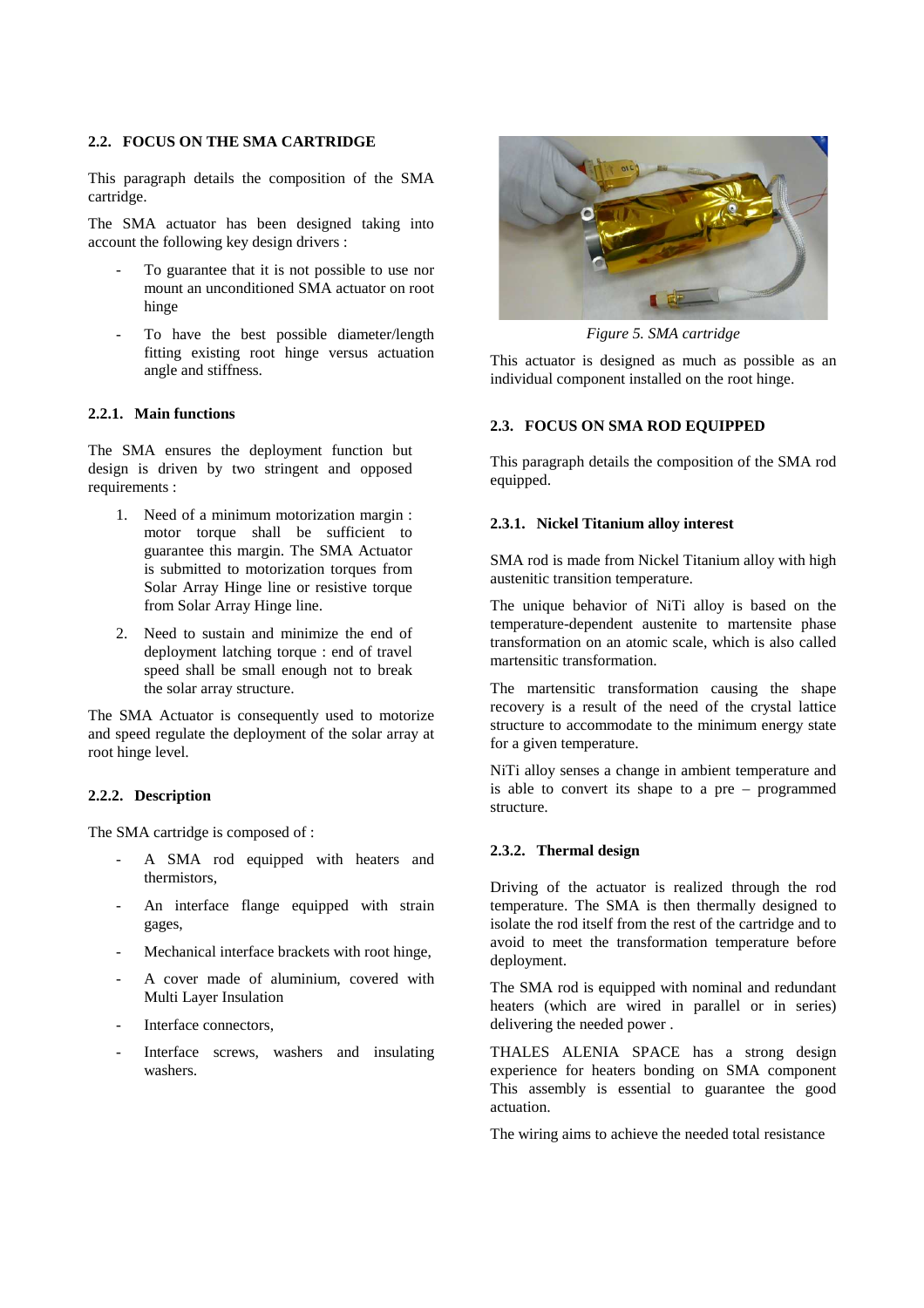## **2.2. FOCUS ON THE SMA CARTRIDGE**

This paragraph details the composition of the SMA cartridge.

The SMA actuator has been designed taking into account the following key design drivers :

- To guarantee that it is not possible to use nor mount an unconditioned SMA actuator on root hinge
- To have the best possible diameter/length fitting existing root hinge versus actuation angle and stiffness.

## **2.2.1. Main functions**

The SMA ensures the deployment function but design is driven by two stringent and opposed requirements :

- 1. Need of a minimum motorization margin : motor torque shall be sufficient to guarantee this margin. The SMA Actuator is submitted to motorization torques from Solar Array Hinge line or resistive torque from Solar Array Hinge line.
- 2. Need to sustain and minimize the end of deployment latching torque : end of travel speed shall be small enough not to break the solar array structure.

The SMA Actuator is consequently used to motorize and speed regulate the deployment of the solar array at root hinge level.

## **2.2.2. Description**

The SMA cartridge is composed of :

- A SMA rod equipped with heaters and thermistors,
- An interface flange equipped with strain gages,
- Mechanical interface brackets with root hinge,
- A cover made of aluminium, covered with Multi Layer Insulation
- Interface connectors.
- Interface screws, washers and insulating washers.



*Figure 5. SMA cartridge* 

This actuator is designed as much as possible as an individual component installed on the root hinge.

## **2.3. FOCUS ON SMA ROD EQUIPPED**

This paragraph details the composition of the SMA rod equipped.

#### **2.3.1. Nickel Titanium alloy interest**

SMA rod is made from Nickel Titanium alloy with high austenitic transition temperature.

The unique behavior of NiTi alloy is based on the temperature-dependent austenite to martensite phase transformation on an atomic scale, which is also called martensitic transformation.

The martensitic transformation causing the shape recovery is a result of the need of the crystal lattice structure to accommodate to the minimum energy state for a given temperature.

NiTi alloy senses a change in ambient temperature and is able to convert its shape to a pre – programmed structure.

#### **2.3.2. Thermal design**

Driving of the actuator is realized through the rod temperature. The SMA is then thermally designed to isolate the rod itself from the rest of the cartridge and to avoid to meet the transformation temperature before deployment.

The SMA rod is equipped with nominal and redundant heaters (which are wired in parallel or in series) delivering the needed power .

THALES ALENIA SPACE has a strong design experience for heaters bonding on SMA component This assembly is essential to guarantee the good actuation.

The wiring aims to achieve the needed total resistance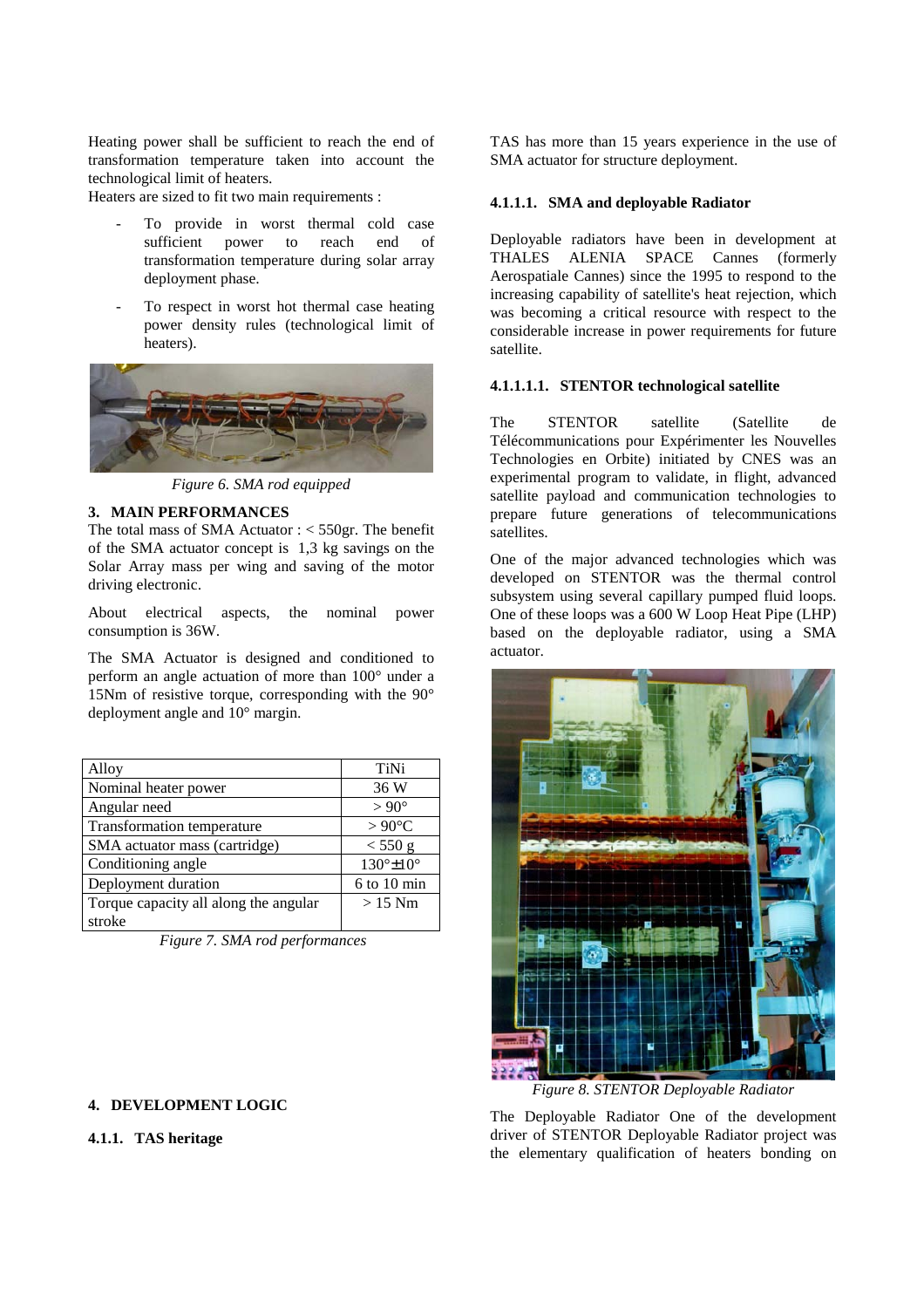Heating power shall be sufficient to reach the end of transformation temperature taken into account the technological limit of heaters.

Heaters are sized to fit two main requirements :

- To provide in worst thermal cold case<br>sufficient power to reach end of sufficient power to transformation temperature during solar array deployment phase.
- To respect in worst hot thermal case heating power density rules (technological limit of heaters).



*Figure 6. SMA rod equipped*

#### **3. MAIN PERFORMANCES**

The total mass of SMA Actuator : < 550gr. The benefit of the SMA actuator concept is 1,3 kg savings on the Solar Array mass per wing and saving of the motor driving electronic.

About electrical aspects, the nominal power consumption is 36W.

The SMA Actuator is designed and conditioned to perform an angle actuation of more than 100° under a 15Nm of resistive torque, corresponding with the 90° deployment angle and 10° margin.

| Alloy                                 | TiNi            |
|---------------------------------------|-----------------|
| Nominal heater power                  | 36 W            |
| Angular need                          | $> 90^{\circ}$  |
| Transformation temperature            | $>90^{\circ}$ C |
| SMA actuator mass (cartridge)         | $<$ 550 g       |
| Conditioning angle                    | 130°±10°        |
| Deployment duration                   | $6$ to 10 min   |
| Torque capacity all along the angular | $>15$ Nm        |
| stroke                                |                 |

 *Figure 7. SMA rod performances* 

## **4. DEVELOPMENT LOGIC**

# **4.1.1. TAS heritage**

TAS has more than 15 years experience in the use of SMA actuator for structure deployment.

### **4.1.1.1. SMA and deployable Radiator**

Deployable radiators have been in development at THALES ALENIA SPACE Cannes (formerly Aerospatiale Cannes) since the 1995 to respond to the increasing capability of satellite's heat rejection, which was becoming a critical resource with respect to the considerable increase in power requirements for future satellite.

## **4.1.1.1.1. STENTOR technological satellite**

The STENTOR satellite (Satellite de Télécommunications pour Expérimenter les Nouvelles Technologies en Orbite) initiated by CNES was an experimental program to validate, in flight, advanced satellite payload and communication technologies to prepare future generations of telecommunications satellites.

One of the major advanced technologies which was developed on STENTOR was the thermal control subsystem using several capillary pumped fluid loops. One of these loops was a 600 W Loop Heat Pipe (LHP) based on the deployable radiator, using a SMA actuator.



*Figure 8. STENTOR Deployable Radiator* 

The Deployable Radiator One of the development driver of STENTOR Deployable Radiator project was the elementary qualification of heaters bonding on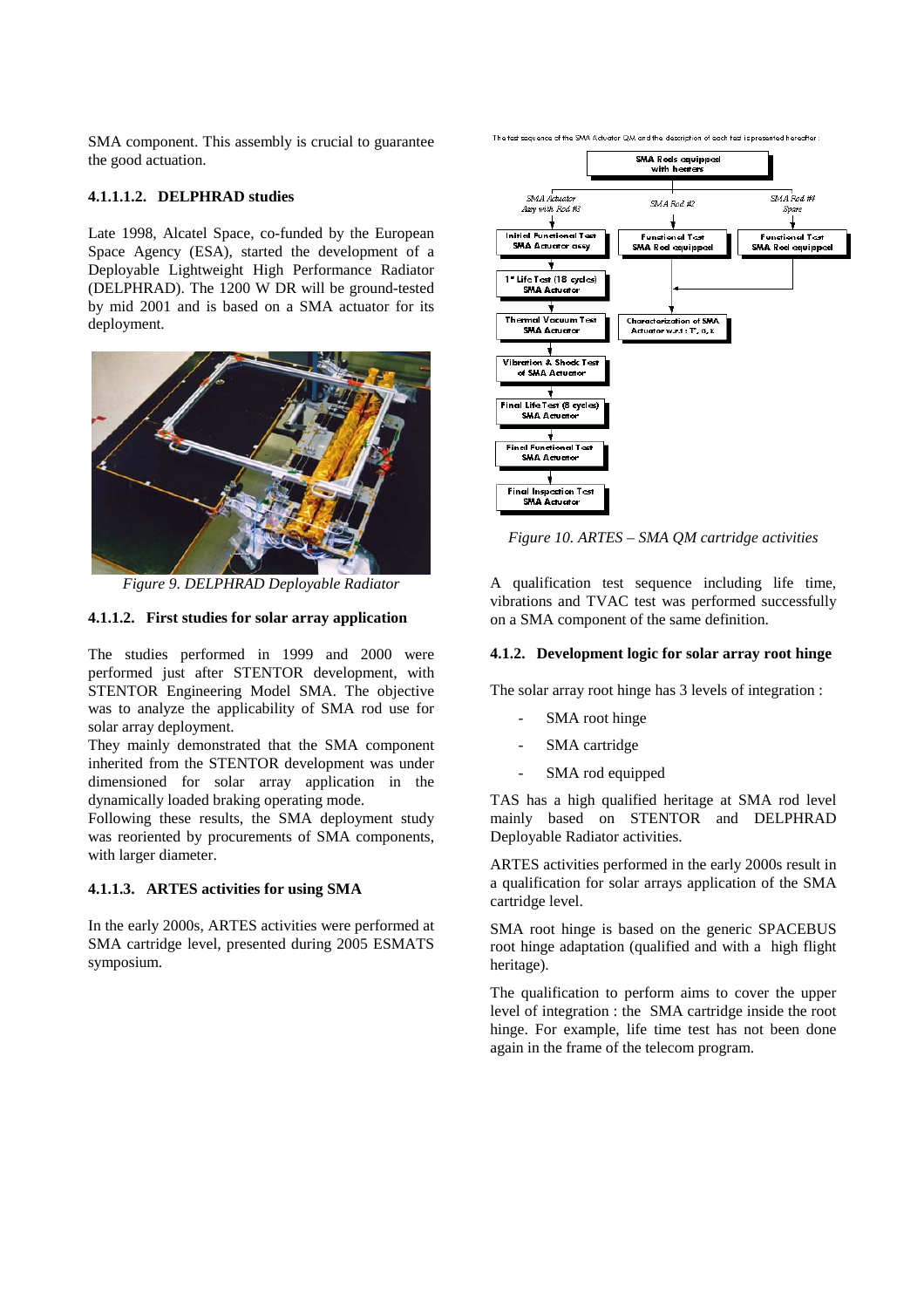SMA component. This assembly is crucial to guarantee the good actuation.

## **4.1.1.1.2. DELPHRAD studies**

Late 1998, Alcatel Space, co-funded by the European Space Agency (ESA), started the development of a Deployable Lightweight High Performance Radiator (DELPHRAD). The 1200 W DR will be ground-tested by mid 2001 and is based on a SMA actuator for its deployment.



*Figure 9. DELPHRAD Deployable Radiator*

## **4.1.1.2. First studies for solar array application**

The studies performed in 1999 and 2000 were performed just after STENTOR development, with STENTOR Engineering Model SMA. The objective was to analyze the applicability of SMA rod use for solar array deployment.

They mainly demonstrated that the SMA component inherited from the STENTOR development was under dimensioned for solar array application in the dynamically loaded braking operating mode.

Following these results, the SMA deployment study was reoriented by procurements of SMA components, with larger diameter.

#### **4.1.1.3. ARTES activities for using SMA**

In the early 2000s, ARTES activities were performed at SMA cartridge level, presented during 2005 ESMATS symposium.

The test sequence of the SVAA Actuator QVA and the description of each test is presented hereafter



*Figure 10. ARTES – SMA QM cartridge activities* 

A qualification test sequence including life time, vibrations and TVAC test was performed successfully on a SMA component of the same definition.

#### **4.1.2. Development logic for solar array root hinge**

The solar array root hinge has 3 levels of integration :

- SMA root hinge
- SMA cartridge
- SMA rod equipped

TAS has a high qualified heritage at SMA rod level mainly based on STENTOR and DELPHRAD Deployable Radiator activities.

ARTES activities performed in the early 2000s result in a qualification for solar arrays application of the SMA cartridge level.

SMA root hinge is based on the generic SPACEBUS root hinge adaptation (qualified and with a high flight heritage).

The qualification to perform aims to cover the upper level of integration : the SMA cartridge inside the root hinge. For example, life time test has not been done again in the frame of the telecom program.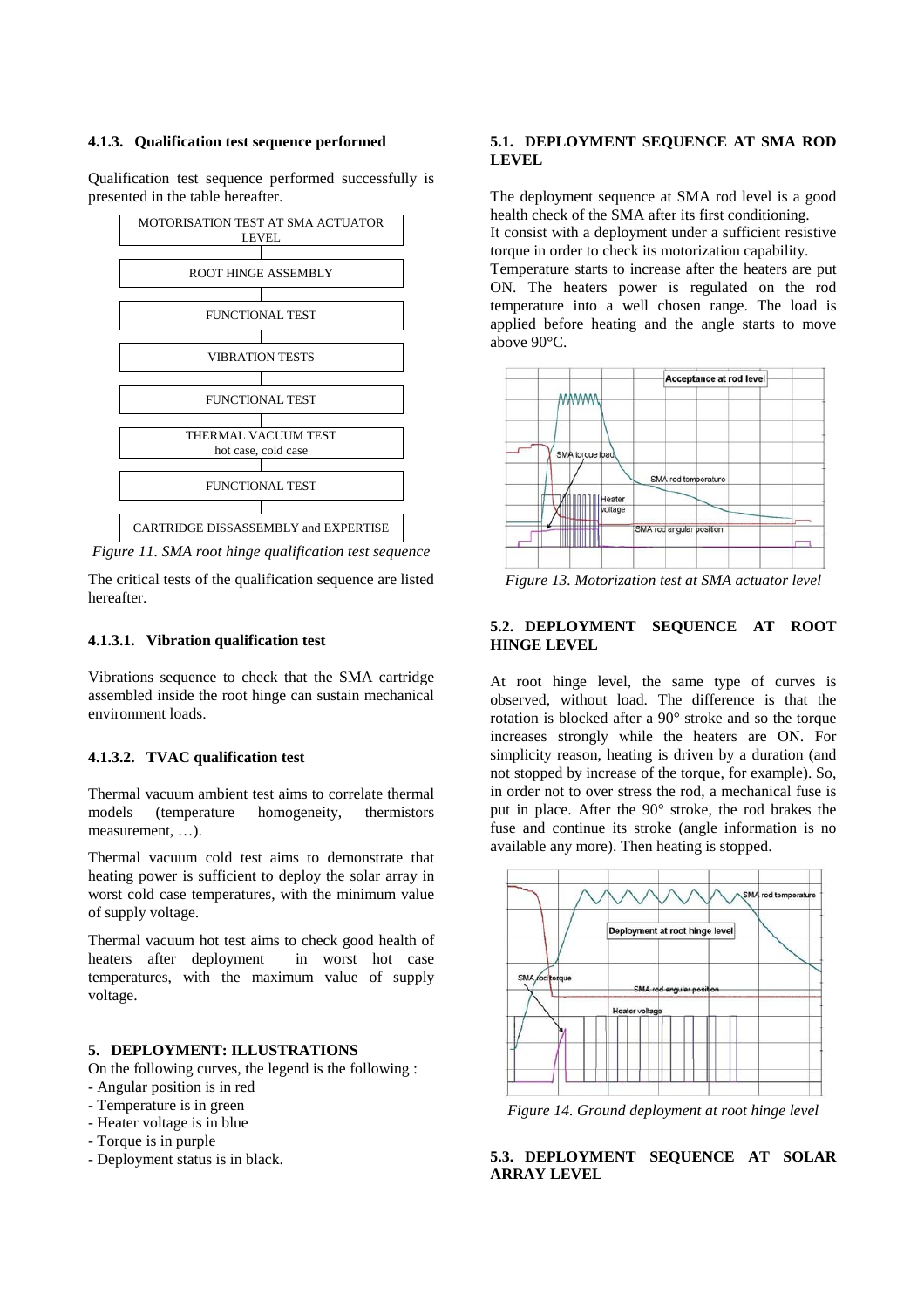#### **4.1.3. Qualification test sequence performed**

Qualification test sequence performed successfully is presented in the table hereafter.



*Figure 11. SMA root hinge qualification test sequence* 

The critical tests of the qualification sequence are listed hereafter.

## **4.1.3.1. Vibration qualification test**

Vibrations sequence to check that the SMA cartridge assembled inside the root hinge can sustain mechanical environment loads.

#### **4.1.3.2. TVAC qualification test**

Thermal vacuum ambient test aims to correlate thermal models (temperature homogeneity, thermistors measurement, …).

Thermal vacuum cold test aims to demonstrate that heating power is sufficient to deploy the solar array in worst cold case temperatures, with the minimum value of supply voltage.

Thermal vacuum hot test aims to check good health of heaters after deployment in worst hot case temperatures, with the maximum value of supply voltage.

## **5. DEPLOYMENT: ILLUSTRATIONS**

On the following curves, the legend is the following :

- Angular position is in red
- Temperature is in green
- Heater voltage is in blue
- Torque is in purple
- Deployment status is in black.

## **5.1. DEPLOYMENT SEQUENCE AT SMA ROD LEVEL**

The deployment sequence at SMA rod level is a good health check of the SMA after its first conditioning. It consist with a deployment under a sufficient resistive torque in order to check its motorization capability.

Temperature starts to increase after the heaters are put ON. The heaters power is regulated on the rod temperature into a well chosen range. The load is applied before heating and the angle starts to move above 90°C.



*Figure 13. Motorization test at SMA actuator level* 

## **5.2. DEPLOYMENT SEQUENCE AT ROOT HINGE LEVEL**

At root hinge level, the same type of curves is observed, without load. The difference is that the rotation is blocked after a 90° stroke and so the torque increases strongly while the heaters are ON. For simplicity reason, heating is driven by a duration (and not stopped by increase of the torque, for example). So, in order not to over stress the rod, a mechanical fuse is put in place. After the 90° stroke, the rod brakes the fuse and continue its stroke (angle information is no available any more). Then heating is stopped.



*Figure 14. Ground deployment at root hinge level* 

**5.3. DEPLOYMENT SEQUENCE AT SOLAR ARRAY LEVEL**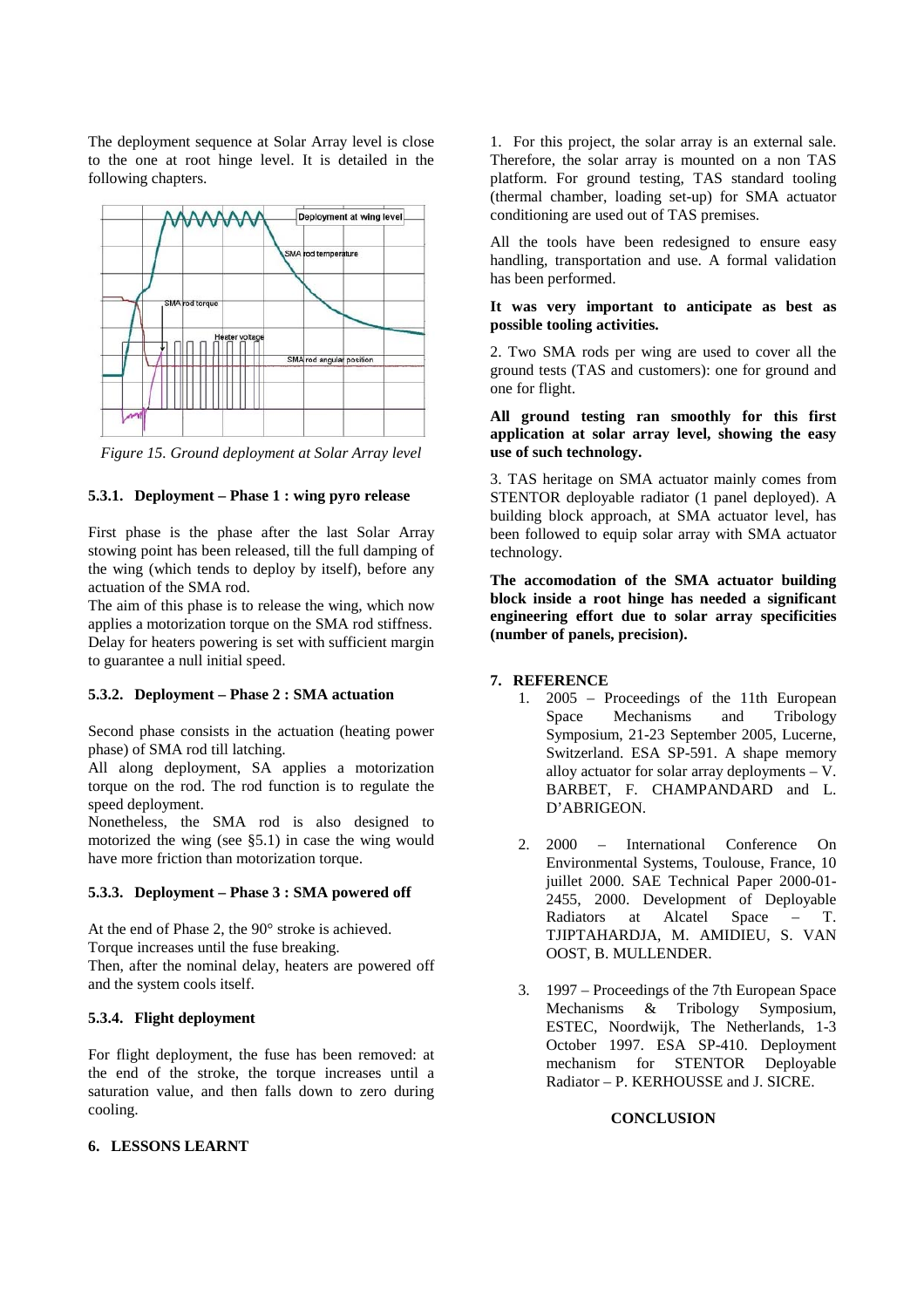The deployment sequence at Solar Array level is close to the one at root hinge level. It is detailed in the following chapters.



*Figure 15. Ground deployment at Solar Array level* 

## **5.3.1. Deployment – Phase 1 : wing pyro release**

First phase is the phase after the last Solar Array stowing point has been released, till the full damping of the wing (which tends to deploy by itself), before any actuation of the SMA rod.

The aim of this phase is to release the wing, which now applies a motorization torque on the SMA rod stiffness. Delay for heaters powering is set with sufficient margin to guarantee a null initial speed.

## **5.3.2. Deployment – Phase 2 : SMA actuation**

Second phase consists in the actuation (heating power phase) of SMA rod till latching.

All along deployment, SA applies a motorization torque on the rod. The rod function is to regulate the speed deployment.

Nonetheless, the SMA rod is also designed to motorized the wing (see §5.1) in case the wing would have more friction than motorization torque.

### **5.3.3. Deployment – Phase 3 : SMA powered off**

At the end of Phase 2, the 90° stroke is achieved. Torque increases until the fuse breaking. Then, after the nominal delay, heaters are powered off and the system cools itself.

## **5.3.4. Flight deployment**

For flight deployment, the fuse has been removed: at the end of the stroke, the torque increases until a saturation value, and then falls down to zero during cooling.

## **6. LESSONS LEARNT**

1. For this project, the solar array is an external sale. Therefore, the solar array is mounted on a non TAS platform. For ground testing, TAS standard tooling (thermal chamber, loading set-up) for SMA actuator conditioning are used out of TAS premises.

All the tools have been redesigned to ensure easy handling, transportation and use. A formal validation has been performed.

## **It was very important to anticipate as best as possible tooling activities.**

2. Two SMA rods per wing are used to cover all the ground tests (TAS and customers): one for ground and one for flight.

## **All ground testing ran smoothly for this first application at solar array level, showing the easy use of such technology.**

3. TAS heritage on SMA actuator mainly comes from STENTOR deployable radiator (1 panel deployed). A building block approach, at SMA actuator level, has been followed to equip solar array with SMA actuator technology.

**The accomodation of the SMA actuator building block inside a root hinge has needed a significant engineering effort due to solar array specificities (number of panels, precision).** 

## **7. REFERENCE**

- 1. 2005 Proceedings of the 11th European Space Mechanisms and Tribology Symposium, 21-23 September 2005, Lucerne, Switzerland. ESA SP-591. A shape memory alloy actuator for solar array deployments – V. BARBET, F. CHAMPANDARD and L. D'ABRIGEON.
- 2. 2000 International Conference On Environmental Systems, Toulouse, France, 10 juillet 2000. SAE Technical Paper 2000-01-2455, 2000. Development of Deployable Radiators at Alcatel Space – T. TJIPTAHARDJA, M. AMIDIEU, S. VAN OOST, B. MULLENDER.
- 3. 1997 Proceedings of the 7th European Space Mechanisms & Tribology Symposium, ESTEC, Noordwijk, The Netherlands, 1-3 October 1997. ESA SP-410. Deployment mechanism for STENTOR Deployable Radiator – P. KERHOUSSE and J. SICRE.

## **CONCLUSION**